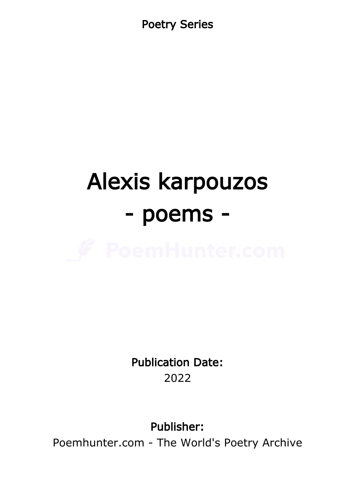Poetry Series

# Alexis karpouzos - poems -



Publication Date: 2022

Publisher:

Poemhunter.com - The World's Poetry Archive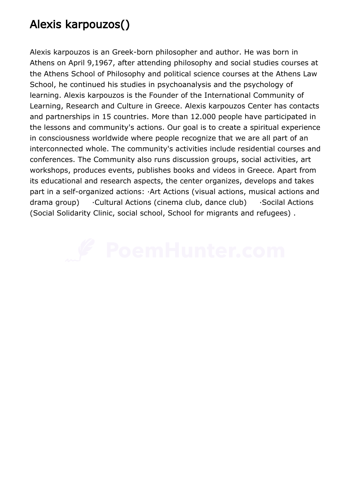## Alexis karpouzos()

Alexis karpouzos is an Greek-born philosopher and author. He was born in Athens on April 9,1967, after attending philosophy and social studies courses at the Athens School of Philosophy and political science courses at the Athens Law School, he continued his studies in psychoanalysis and the psychology of learning. Alexis karpouzos is the Founder of the International Community of Learning, Research and Culture in Greece. Alexis karpouzos Center has contacts and partnerships in 15 countries. More than 12.000 people have participated in the lessons and community's actions. Our goal is to create a spiritual experience in consciousness worldwide where people recognize that we are all part of an interconnected whole. The community's activities include residential courses and conferences. The Community also runs discussion groups, social activities, art workshops, produces events, publishes books and videos in Greece. Apart from its educational and research aspects, the center organizes, develops and takes part in a self-organized actions: ·Art Actions (visual actions, musical actions and drama group) · Cultural Actions (cinema club, dance club) · Socilal Actions (Social Solidarity Clinic, social school, School for migrants and refugees) .

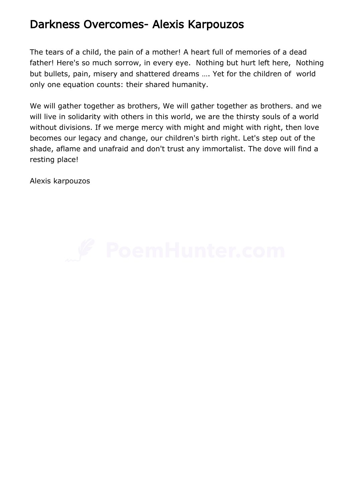#### Darkness Overcomes- Alexis Karpouzos

The tears of a child, the pain of a mother! A heart full of memories of a dead father! Here's so much sorrow, in every eye. Nothing but hurt left here, Nothing but bullets, pain, misery and shattered dreams …. Yet for the children of world only one equation counts: their shared humanity.

We will gather together as brothers, We will gather together as brothers. and we will live in solidarity with others in this world, we are the thirsty souls of a world without divisions. If we merge mercy with might and might with right, then love becomes our legacy and change, our children's birth right. Let's step out of the shade, aflame and unafraid and don't trust any immortalist. The dove will find a resting place!

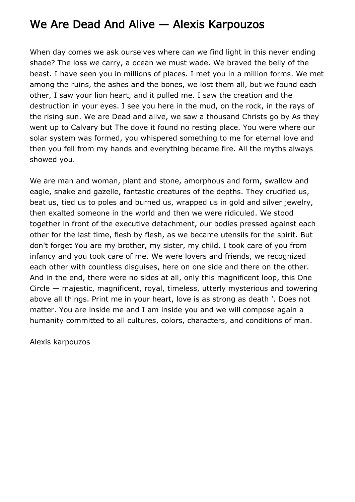## We Are Dead And Alive — Alexis Karpouzos

When day comes we ask ourselves where can we find light in this never ending shade? The loss we carry, a ocean we must wade. We braved the belly of the beast. I have seen you in millions of places. I met you in a million forms. We met among the ruins, the ashes and the bones, we lost them all, but we found each other, I saw your lion heart, and it pulled me. I saw the creation and the destruction in your eyes. I see you here in the mud, on the rock, in the rays of the rising sun. We are Dead and alive, we saw a thousand Christs go by As they went up to Calvary but The dove it found no resting place. You were where our solar system was formed, you whispered something to me for eternal love and then you fell from my hands and everything became fire. All the myths always showed you.

We are man and woman, plant and stone, amorphous and form, swallow and eagle, snake and gazelle, fantastic creatures of the depths. They crucified us, beat us, tied us to poles and burned us, wrapped us in gold and silver jewelry, then exalted someone in the world and then we were ridiculed. We stood together in front of the executive detachment, our bodies pressed against each other for the last time, flesh by flesh, as we became utensils for the spirit. But don't forget You are my brother, my sister, my child. I took care of you from infancy and you took care of me. We were lovers and friends, we recognized each other with countless disguises, here on one side and there on the other. And in the end, there were no sides at all, only this magnificent loop, this One Circle — majestic, magnificent, royal, timeless, utterly mysterious and towering above all things. Print me in your heart, love is as strong as death '. Does not matter. You are inside me and I am inside you and we will compose again a humanity committed to all cultures, colors, characters, and conditions of man.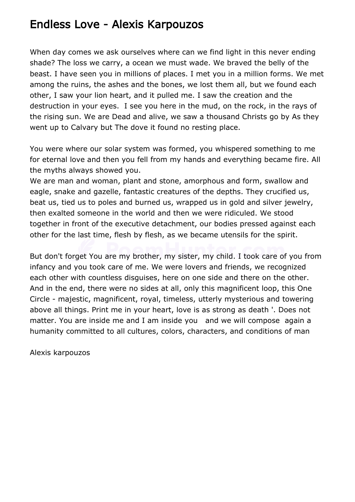#### Endless Love - Alexis Karpouzos

When day comes we ask ourselves where can we find light in this never ending shade? The loss we carry, a ocean we must wade. We braved the belly of the beast. I have seen you in millions of places. I met you in a million forms. We met among the ruins, the ashes and the bones, we lost them all, but we found each other, I saw your lion heart, and it pulled me. I saw the creation and the destruction in your eyes. I see you here in the mud, on the rock, in the rays of the rising sun. We are Dead and alive, we saw a thousand Christs go by As they went up to Calvary but The dove it found no resting place.

You were where our solar system was formed, you whispered something to me for eternal love and then you fell from my hands and everything became fire. All the myths always showed you.

We are man and woman, plant and stone, amorphous and form, swallow and eagle, snake and gazelle, fantastic creatures of the depths. They crucified us, beat us, tied us to poles and burned us, wrapped us in gold and silver jewelry, then exalted someone in the world and then we were ridiculed. We stood together in front of the executive detachment, our bodies pressed against each other for the last time, flesh by flesh, as we became utensils for the spirit.

But don't forget You are my brother, my sister, my child. I took care of you from infancy and you took care of me. We were lovers and friends, we recognized each other with countless disguises, here on one side and there on the other. And in the end, there were no sides at all, only this magnificent loop, this One Circle - majestic, magnificent, royal, timeless, utterly mysterious and towering above all things. Print me in your heart, love is as strong as death '. Does not matter. You are inside me and I am inside you and we will compose again a humanity committed to all cultures, colors, characters, and conditions of man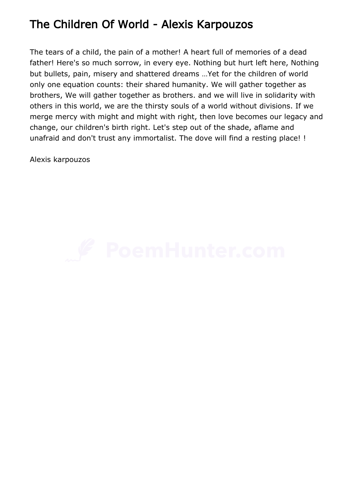## The Children Of World - Alexis Karpouzos

The tears of a child, the pain of a mother! A heart full of memories of a dead father! Here's so much sorrow, in every eye. Nothing but hurt left here, Nothing but bullets, pain, misery and shattered dreams …Yet for the children of world only one equation counts: their shared humanity. We will gather together as brothers, We will gather together as brothers. and we will live in solidarity with others in this world, we are the thirsty souls of a world without divisions. If we merge mercy with might and might with right, then love becomes our legacy and change, our children's birth right. Let's step out of the shade, aflame and unafraid and don't trust any immortalist. The dove will find a resting place! !

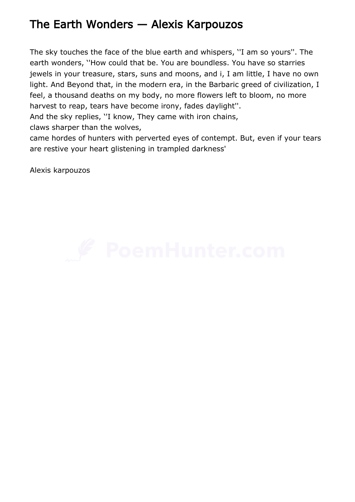## The Earth Wonders — Alexis Karpouzos

The sky touches the face of the blue earth and whispers, ''I am so yours''. The earth wonders, ''How could that be. You are boundless. You have so starries jewels in your treasure, stars, suns and moons, and i, I am little, I have no own light. And Beyond that, in the modern era, in the Barbaric greed of civilization, I feel, a thousand deaths on my body, no more flowers left to bloom, no more harvest to reap, tears have become irony, fades daylight''.

And the sky replies, ''I know, They came with iron chains,

claws sharper than the wolves,

came hordes of hunters with perverted eyes of contempt. But, even if your tears are restive your heart glistening in trampled darkness'

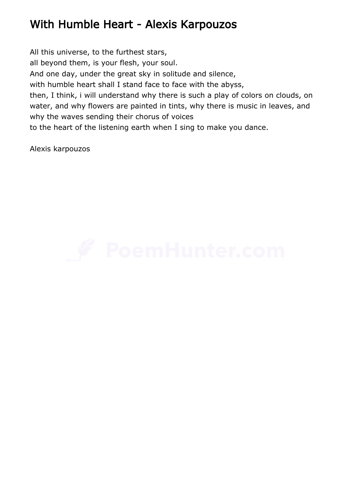## With Humble Heart - Alexis Karpouzos

All this universe, to the furthest stars, all beyond them, is your flesh, your soul. And one day, under the great sky in solitude and silence, with humble heart shall I stand face to face with the abyss, then, I think, i will understand why there is such a play of colors on clouds, on water, and why flowers are painted in tints, why there is music in leaves, and why the waves sending their chorus of voices to the heart of the listening earth when I sing to make you dance.

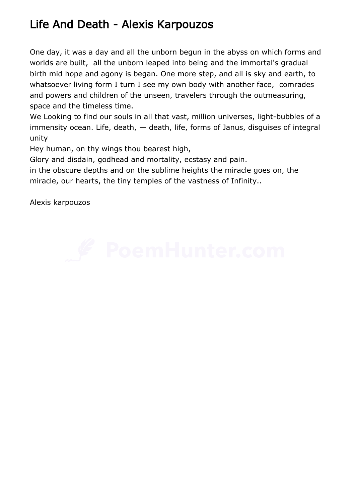## Life And Death - Alexis Karpouzos

One day, it was a day and all the unborn begun in the abyss on which forms and worlds are built, all the unborn leaped into being and the immortal's gradual birth mid hope and agony is began. One more step, and all is sky and earth, to whatsoever living form I turn I see my own body with another face, comrades and powers and children of the unseen, travelers through the outmeasuring, space and the timeless time.

We Looking to find our souls in all that vast, million universes, light-bubbles of a immensity ocean. Life, death, — death, life, forms of Janus, disguises of integral unity

Hey human, on thy wings thou bearest high,

Glory and disdain, godhead and mortality, ecstasy and pain.

in the obscure depths and on the sublime heights the miracle goes on, the miracle, our hearts, the tiny temples of the vastness of Infinity..

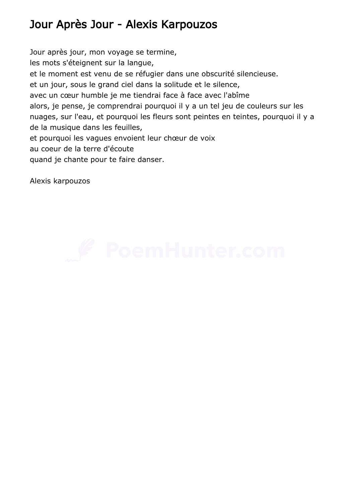# Jour Après Jour - Alexis Karpouzos

Jour après jour, mon voyage se termine, les mots s'éteignent sur la langue, et le moment est venu de se réfugier dans une obscurité silencieuse. et un jour, sous le grand ciel dans la solitude et le silence, avec un cœur humble je me tiendrai face à face avec l'abîme alors, je pense, je comprendrai pourquoi il y a un tel jeu de couleurs sur les nuages, sur l'eau, et pourquoi les fleurs sont peintes en teintes, pourquoi il y a de la musique dans les feuilles, et pourquoi les vagues envoient leur chœur de voix au coeur de la terre d'écoute quand je chante pour te faire danser.

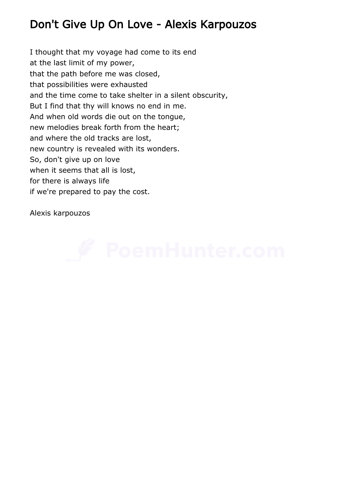## Don't Give Up On Love - Alexis Karpouzos

I thought that my voyage had come to its end at the last limit of my power, that the path before me was closed, that possibilities were exhausted and the time come to take shelter in a silent obscurity, But I find that thy will knows no end in me. And when old words die out on the tongue, new melodies break forth from the heart; and where the old tracks are lost, new country is revealed with its wonders. So, don't give up on love when it seems that all is lost, for there is always life if we're prepared to pay the cost.

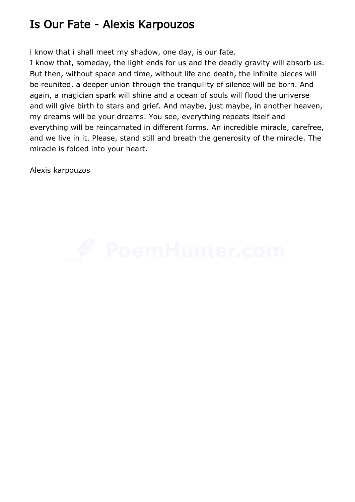#### Is Our Fate - Alexis Karpouzos

i know that i shall meet my shadow, one day, is our fate.

I know that, someday, the light ends for us and the deadly gravity will absorb us. But then, without space and time, without life and death, the infinite pieces will be reunited, a deeper union through the tranquility of silence will be born. And again, a magician spark will shine and a ocean of souls will flood the universe and will give birth to stars and grief. And maybe, just maybe, in another heaven, my dreams will be your dreams. You see, everything repeats itself and everything will be reincarnated in different forms. An incredible miracle, carefree, and we live in it. Please, stand still and breath the generosity of the miracle. The miracle is folded into your heart.

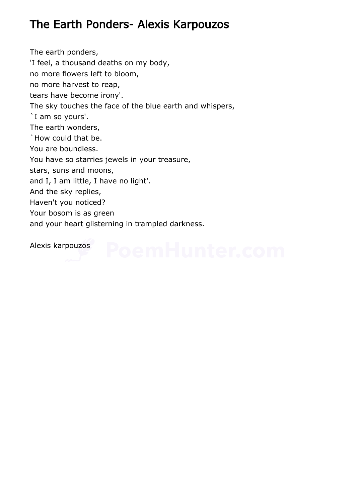## The Earth Ponders- Alexis Karpouzos

The earth ponders, 'I feel, a thousand deaths on my body, no more flowers left to bloom, no more harvest to reap, tears have become irony'. The sky touches the face of the blue earth and whispers, `I am so yours'. The earth wonders, `How could that be. You are boundless. You have so starries jewels in your treasure, stars, suns and moons, and I, I am little, I have no light'. And the sky replies, Haven't you noticed? Your bosom is as green and your heart glisterning in trampled darkness.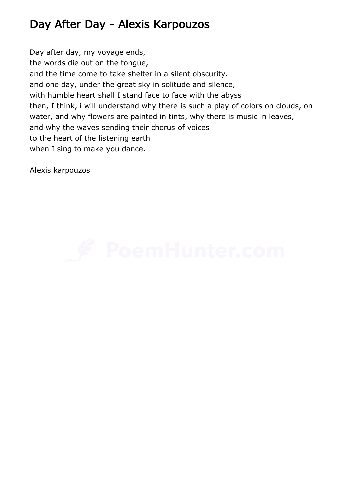## Day After Day - Alexis Karpouzos

Day after day, my voyage ends, the words die out on the tongue, and the time come to take shelter in a silent obscurity. and one day, under the great sky in solitude and silence, with humble heart shall I stand face to face with the abyss then, I think, i will understand why there is such a play of colors on clouds, on water, and why flowers are painted in tints, why there is music in leaves, and why the waves sending their chorus of voices to the heart of the listening earth when I sing to make you dance.

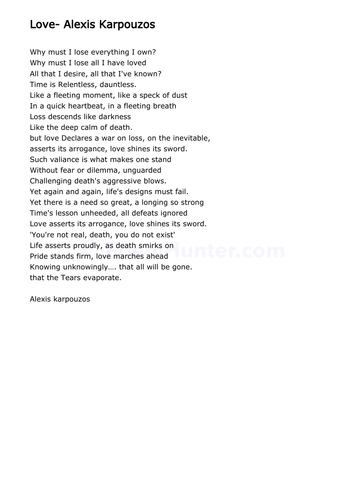#### Love- Alexis Karpouzos

Why must I lose everything I own? Why must I lose all I have loved All that I desire, all that I've known? Time is Relentless, dauntless. Like a fleeting moment, like a speck of dust In a quick heartbeat, in a fleeting breath Loss descends like darkness Like the deep calm of death. but love Declares a war on loss, on the inevitable, asserts its arrogance, love shines its sword. Such valiance is what makes one stand Without fear or dilemma, unguarded Challenging death's aggressive blows. Yet again and again, life's designs must fail. Yet there is a need so great, a longing so strong Time's lesson unheeded, all defeats ignored Love asserts its arrogance, love shines its sword. 'You're not real, death, you do not exist' Life asserts proudly, as death smirks on Pride stands firm, love marches ahead Knowing unknowingly…. that all will be gone. that the Tears evaporate.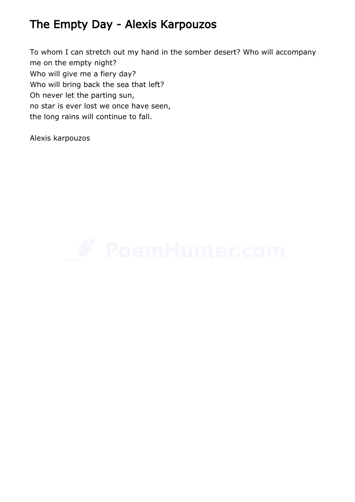## The Empty Day - Alexis Karpouzos

To whom I can stretch out my hand in the somber desert? Who will accompany me on the empty night? Who will give me a fiery day? Who will bring back the sea that left? Oh never let the parting sun, no star is ever lost we once have seen, the long rains will continue to fall.

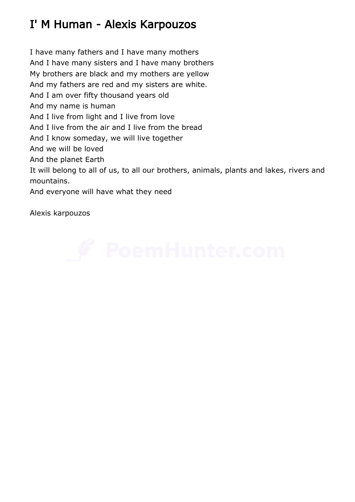# I' M Human - Alexis Karpouzos

I have many fathers and I have many mothers And I have many sisters and I have many brothers My brothers are black and my mothers are yellow And my fathers are red and my sisters are white. And I am over fifty thousand years old And my name is human And I live from light and I live from love And I live from the air and I live from the bread And I know someday, we will live together And we will be loved And the planet Earth It will belong to all of us, to all our brothers, animals, plants and lakes, rivers and mountains. And everyone will have what they need

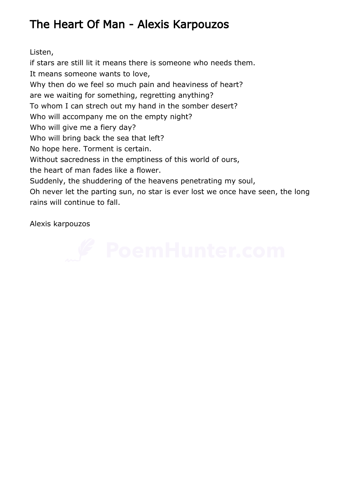# The Heart Of Man - Alexis Karpouzos

Listen,

if stars are still lit it means there is someone who needs them. It means someone wants to love, Why then do we feel so much pain and heaviness of heart? are we waiting for something, regretting anything? To whom I can strech out my hand in the somber desert? Who will accompany me on the empty night? Who will give me a fiery day? Who will bring back the sea that left? No hope here. Torment is certain. Without sacredness in the emptiness of this world of ours, the heart of man fades like a flower. Suddenly, the shuddering of the heavens penetrating my soul, Oh never let the parting sun, no star is ever lost we once have seen, the long rains will continue to fall.

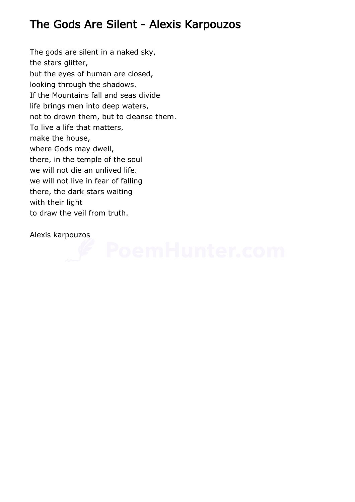## The Gods Are Silent - Alexis Karpouzos

The gods are silent in a naked sky, the stars glitter, but the eyes of human are closed, looking through the shadows. If the Mountains fall and seas divide life brings men into deep waters, not to drown them, but to cleanse them. To live a life that matters, make the house, where Gods may dwell, there, in the temple of the soul we will not die an unlived life. we will not live in fear of falling there, the dark stars waiting with their light to draw the veil from truth.

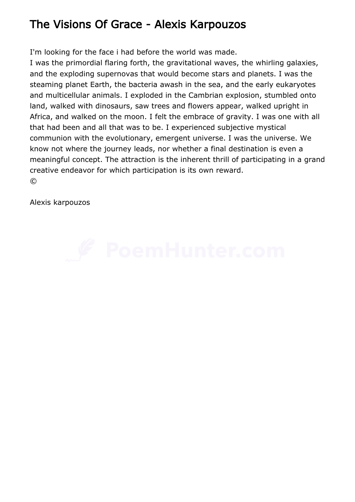## The Visions Of Grace - Alexis Karpouzos

I'm looking for the face i had before the world was made.

I was the primordial flaring forth, the gravitational waves, the whirling galaxies, and the exploding supernovas that would become stars and planets. I was the steaming planet Earth, the bacteria awash in the sea, and the early eukaryotes and multicellular animals. I exploded in the Cambrian explosion, stumbled onto land, walked with dinosaurs, saw trees and flowers appear, walked upright in Africa, and walked on the moon. I felt the embrace of gravity. I was one with all that had been and all that was to be. I experienced subjective mystical communion with the evolutionary, emergent universe. I was the universe. We know not where the journey leads, nor whether a final destination is even a meaningful concept. The attraction is the inherent thrill of participating in a grand creative endeavor for which participation is its own reward.  $\circled{c}$